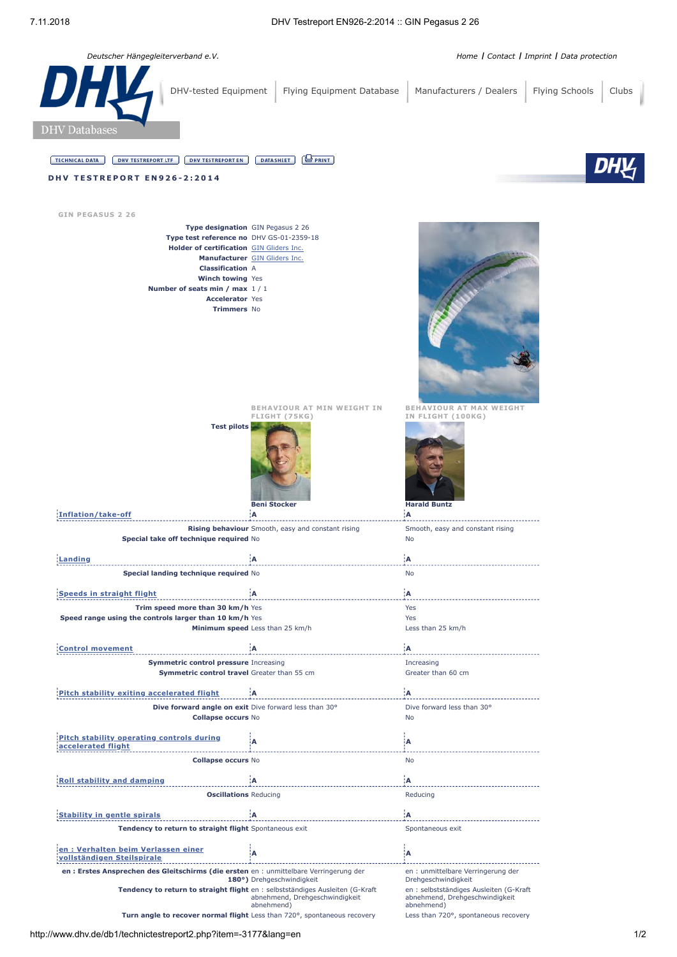*Deutscher Hängegleiterverband e.V. [Home](http://www.dhv.de/) I [Contact](http://www.dhv.de/kontakt/) I [Imprint](http://www.dhv.de/impressum/) I [Data protection](https://www.dhv.de/datenschutz/)*

| <b>DHY</b><br>DHV-tested Equipment                                                                                                                                                                                                                 | Flying Equipment Database                                                 | Manufacturers / Dealers                                                                                        | Flying Schools<br>Clubs |
|----------------------------------------------------------------------------------------------------------------------------------------------------------------------------------------------------------------------------------------------------|---------------------------------------------------------------------------|----------------------------------------------------------------------------------------------------------------|-------------------------|
| <b>DHV</b> Databases                                                                                                                                                                                                                               |                                                                           |                                                                                                                |                         |
| <b>DHV TESTREPORT EN</b><br><b>TECHNICAL DATA</b><br><b>DHV TESTREPORT LTF</b>                                                                                                                                                                     | $\bigoplus$ PRINT<br><b>DATASHEET</b>                                     |                                                                                                                |                         |
| <b>DHV TESTREPORT EN926-2:2014</b>                                                                                                                                                                                                                 |                                                                           |                                                                                                                |                         |
|                                                                                                                                                                                                                                                    |                                                                           |                                                                                                                |                         |
| <b>GIN PEGASUS 2 26</b>                                                                                                                                                                                                                            |                                                                           |                                                                                                                |                         |
| Type designation GIN Pegasus 2 26<br>Type test reference no DHV GS-01-2359-18<br>Holder of certification GIN Gliders Inc.<br><b>Classification A</b><br>Winch towing Yes<br>Number of seats min / max 1/1<br><b>Accelerator Yes</b><br>Trimmers No | Manufacturer GIN Gliders Inc.                                             |                                                                                                                |                         |
| <b>Test pilots</b>                                                                                                                                                                                                                                 | BEHAVIOUR AT MIN WEIGHT IN<br>FLIGHT (75KG)<br><b>Beni Stocker</b>        | <b>BEHAVIOUR AT MAX WEIGHT</b><br>IN FLIGHT (100KG)<br><b>Harald Buntz</b>                                     |                         |
| Inflation/take-off                                                                                                                                                                                                                                 | ¦A<br>Rising behaviour Smooth, easy and constant rising                   | ¦A<br>Smooth, easy and constant rising                                                                         |                         |
| Special take off technique required No                                                                                                                                                                                                             |                                                                           | No                                                                                                             |                         |
| Landing                                                                                                                                                                                                                                            | ίA                                                                        | ¦A                                                                                                             |                         |
| ecial lanuniy technique requireu ivo                                                                                                                                                                                                               |                                                                           | No                                                                                                             |                         |
| <b>Speeds in straight flight</b>                                                                                                                                                                                                                   | A                                                                         | ΪA.                                                                                                            |                         |
| Trim speed more than 30 km/h Yes                                                                                                                                                                                                                   |                                                                           | Yes                                                                                                            |                         |
| Speed range using the controls larger than 10 km/h Yes                                                                                                                                                                                             |                                                                           | Yes                                                                                                            |                         |
|                                                                                                                                                                                                                                                    | Minimum speed Less than 25 km/h                                           | Less than 25 km/h                                                                                              |                         |
| <b>Control movement</b>                                                                                                                                                                                                                            | А                                                                         | ¦A                                                                                                             |                         |
| Symmetric control pressure Increasing                                                                                                                                                                                                              |                                                                           | Increasing                                                                                                     |                         |
| Symmetric control travel Greater than 55 cm                                                                                                                                                                                                        |                                                                           | Greater than 60 cm                                                                                             |                         |
| Pitch stability exiting accelerated flight                                                                                                                                                                                                         | ۰A                                                                        | ¦A.                                                                                                            |                         |
| Dive forward angle on exit Dive forward less than 30°<br><b>Collapse occurs No</b>                                                                                                                                                                 |                                                                           | Dive forward less than 30°<br>No                                                                               |                         |
| Pitch stability operating controls during                                                                                                                                                                                                          | А                                                                         | ļΑ                                                                                                             |                         |
| accelerated flight                                                                                                                                                                                                                                 |                                                                           |                                                                                                                |                         |
| <b>Collapse occurs No</b>                                                                                                                                                                                                                          |                                                                           | No                                                                                                             |                         |
| <b>Roll stability and damping</b>                                                                                                                                                                                                                  | Α                                                                         | Α                                                                                                              |                         |
| <b>Oscillations Reducing</b>                                                                                                                                                                                                                       |                                                                           | Reducing                                                                                                       |                         |
| <b>Stability in gentle spirals</b>                                                                                                                                                                                                                 | ïΑ                                                                        | A                                                                                                              |                         |
| Tendency to return to straight flight Spontaneous exit                                                                                                                                                                                             |                                                                           | Spontaneous exit                                                                                               |                         |
| en: Verhalten beim Verlassen einer<br>vollständigen Steilspirale                                                                                                                                                                                   | A                                                                         | ļΑ                                                                                                             |                         |
| en : Erstes Ansprechen des Gleitschirms (die ersten en : unmittelbare Verringerung der                                                                                                                                                             |                                                                           | en : unmittelbare Verringerung der                                                                             |                         |
| Tendency to return to straight flight en : selbstständiges Ausleiten (G-Kraft                                                                                                                                                                      | 180°) Drehgeschwindigkeit<br>abnehmend, Drehgeschwindigkeit<br>abnehmend) | Drehgeschwindigkeit<br>en : selbstständiges Ausleiten (G-Kraft<br>abnehmend, Drehgeschwindigkeit<br>abnehmend) |                         |
|                                                                                                                                                                                                                                                    | Turn angle to recover normal flight Less than 720°, spontaneous recovery  | Less than 720°, spontaneous recovery                                                                           |                         |